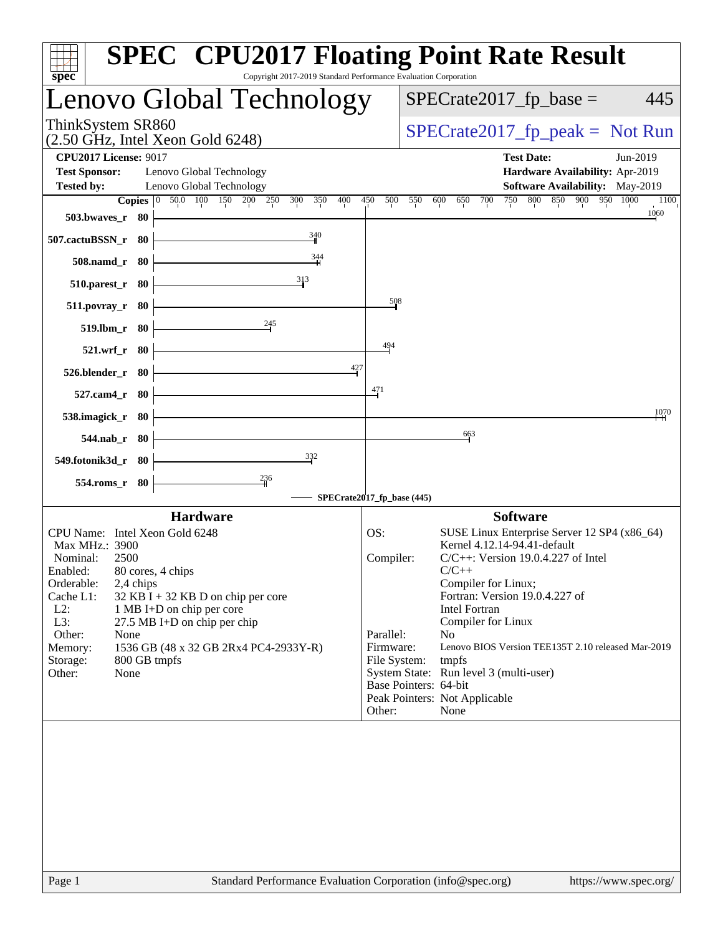| Copyright 2017-2019 Standard Performance Evaluation Corporation<br>spec <sup>®</sup>                                                                                                                                                                                                                                                                                                    | <b>SPEC<sup>®</sup> CPU2017 Floating Point Rate Result</b>                                                                                                                                                                                                                                                                                                                                                                                                                                |
|-----------------------------------------------------------------------------------------------------------------------------------------------------------------------------------------------------------------------------------------------------------------------------------------------------------------------------------------------------------------------------------------|-------------------------------------------------------------------------------------------------------------------------------------------------------------------------------------------------------------------------------------------------------------------------------------------------------------------------------------------------------------------------------------------------------------------------------------------------------------------------------------------|
| Lenovo Global Technology                                                                                                                                                                                                                                                                                                                                                                | $SPECrate2017_fp\_base =$<br>445                                                                                                                                                                                                                                                                                                                                                                                                                                                          |
| ThinkSystem SR860<br>$(2.50 \text{ GHz}, \text{Intel Xeon Gold } 6248)$                                                                                                                                                                                                                                                                                                                 | $SPECrate2017_fp\_peak = Not Run$                                                                                                                                                                                                                                                                                                                                                                                                                                                         |
| <b>CPU2017 License: 9017</b><br>Lenovo Global Technology<br><b>Test Sponsor:</b><br><b>Tested by:</b><br>Lenovo Global Technology                                                                                                                                                                                                                                                       | <b>Test Date:</b><br>Jun-2019<br>Hardware Availability: Apr-2019<br>Software Availability: May-2019                                                                                                                                                                                                                                                                                                                                                                                       |
| Copies 0 50.0 100 150 200 250 300<br>350<br>400<br>503.bwaves_r 80                                                                                                                                                                                                                                                                                                                      | 750 800 850 900 950 1000<br>450<br>500<br>550<br>700<br>600<br>650<br>1100<br>1060                                                                                                                                                                                                                                                                                                                                                                                                        |
| $\frac{340}{4}$<br>507.cactuBSSN_r 80<br>$\frac{344}{11}$<br>508.namd_r 80                                                                                                                                                                                                                                                                                                              |                                                                                                                                                                                                                                                                                                                                                                                                                                                                                           |
| 313<br>$510.parest_r$ 80                                                                                                                                                                                                                                                                                                                                                                |                                                                                                                                                                                                                                                                                                                                                                                                                                                                                           |
| $511. povray_r$ 80<br>245<br>519.lbm_r 80                                                                                                                                                                                                                                                                                                                                               | $\frac{508}{50}$                                                                                                                                                                                                                                                                                                                                                                                                                                                                          |
| 521.wrf_r 80<br>427                                                                                                                                                                                                                                                                                                                                                                     | 494                                                                                                                                                                                                                                                                                                                                                                                                                                                                                       |
| 526.blender_r 80<br>527.cam4_r 80                                                                                                                                                                                                                                                                                                                                                       | 471                                                                                                                                                                                                                                                                                                                                                                                                                                                                                       |
| 538.imagick_r 80                                                                                                                                                                                                                                                                                                                                                                        | 1070<br>663                                                                                                                                                                                                                                                                                                                                                                                                                                                                               |
| 544.nab_r 80<br>332<br>549.fotonik3d_r 80                                                                                                                                                                                                                                                                                                                                               |                                                                                                                                                                                                                                                                                                                                                                                                                                                                                           |
| $\frac{236}{4}$<br>554.roms_r 80                                                                                                                                                                                                                                                                                                                                                        | SPECrate2017_fp_base (445)                                                                                                                                                                                                                                                                                                                                                                                                                                                                |
| <b>Hardware</b>                                                                                                                                                                                                                                                                                                                                                                         | <b>Software</b>                                                                                                                                                                                                                                                                                                                                                                                                                                                                           |
| CPU Name: Intel Xeon Gold 6248<br>Max MHz.: 3900<br>Nominal:<br>2500<br>80 cores, 4 chips<br>Enabled:<br>2,4 chips<br>Orderable:<br>Cache L1:<br>$32$ KB I + 32 KB D on chip per core<br>$L2$ :<br>1 MB I+D on chip per core<br>L3:<br>27.5 MB I+D on chip per chip<br>Other:<br>None<br>Memory:<br>1536 GB (48 x 32 GB 2Rx4 PC4-2933Y-R)<br>800 GB tmpfs<br>Storage:<br>Other:<br>None | SUSE Linux Enterprise Server 12 SP4 (x86_64)<br>OS:<br>Kernel 4.12.14-94.41-default<br>Compiler:<br>$C/C++$ : Version 19.0.4.227 of Intel<br>$C/C++$<br>Compiler for Linux;<br>Fortran: Version 19.0.4.227 of<br>Intel Fortran<br>Compiler for Linux<br>No<br>Parallel:<br>Firmware:<br>Lenovo BIOS Version TEE135T 2.10 released Mar-2019<br>File System:<br>tmpfs<br>System State: Run level 3 (multi-user)<br>Base Pointers: 64-bit<br>Peak Pointers: Not Applicable<br>None<br>Other: |
|                                                                                                                                                                                                                                                                                                                                                                                         |                                                                                                                                                                                                                                                                                                                                                                                                                                                                                           |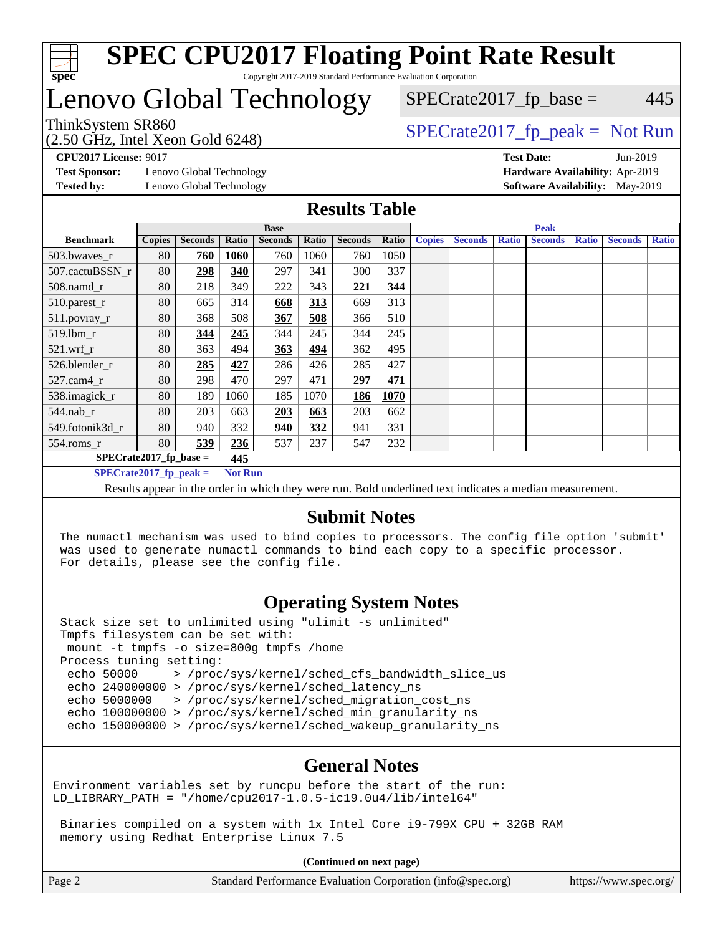

#### **[SPEC CPU2017 Floating Point Rate Result](http://www.spec.org/auto/cpu2017/Docs/result-fields.html#SPECCPU2017FloatingPointRateResult)** Copyright 2017-2019 Standard Performance Evaluation Corporation

### Lenovo Global Technology

(2.50 GHz, Intel Xeon Gold 6248)

 $SPECTate2017<sub>fr</sub> peak = Not Run$ 

 $SPECTate2017<sub>fr</sub> base = 445$ 

**[CPU2017 License:](http://www.spec.org/auto/cpu2017/Docs/result-fields.html#CPU2017License)** 9017 **[Test Date:](http://www.spec.org/auto/cpu2017/Docs/result-fields.html#TestDate)** Jun-2019

**[Test Sponsor:](http://www.spec.org/auto/cpu2017/Docs/result-fields.html#TestSponsor)** Lenovo Global Technology **[Hardware Availability:](http://www.spec.org/auto/cpu2017/Docs/result-fields.html#HardwareAvailability)** Apr-2019

**[Tested by:](http://www.spec.org/auto/cpu2017/Docs/result-fields.html#Testedby)** Lenovo Global Technology **[Software Availability:](http://www.spec.org/auto/cpu2017/Docs/result-fields.html#SoftwareAvailability)** May-2019

#### **[Results Table](http://www.spec.org/auto/cpu2017/Docs/result-fields.html#ResultsTable)**

|                                                                                                                                                                                                                                       | <b>Base</b>   |                |       |                |       |                |       |               | <b>Peak</b>    |              |                |              |                |              |
|---------------------------------------------------------------------------------------------------------------------------------------------------------------------------------------------------------------------------------------|---------------|----------------|-------|----------------|-------|----------------|-------|---------------|----------------|--------------|----------------|--------------|----------------|--------------|
| <b>Benchmark</b>                                                                                                                                                                                                                      | <b>Copies</b> | <b>Seconds</b> | Ratio | <b>Seconds</b> | Ratio | <b>Seconds</b> | Ratio | <b>Copies</b> | <b>Seconds</b> | <b>Ratio</b> | <b>Seconds</b> | <b>Ratio</b> | <b>Seconds</b> | <b>Ratio</b> |
| 503.bwayes_r                                                                                                                                                                                                                          | 80            | 760            | 1060  | 760            | 1060  | 760            | 1050  |               |                |              |                |              |                |              |
| 507.cactuBSSN r                                                                                                                                                                                                                       | 80            | 298            | 340   | 297            | 341   | 300            | 337   |               |                |              |                |              |                |              |
| $508$ .namd $r$                                                                                                                                                                                                                       | 80            | 218            | 349   | 222            | 343   | 221            | 344   |               |                |              |                |              |                |              |
| 510.parest_r                                                                                                                                                                                                                          | 80            | 665            | 314   | 668            | 313   | 669            | 313   |               |                |              |                |              |                |              |
| 511.povray_r                                                                                                                                                                                                                          | 80            | 368            | 508   | 367            | 508   | 366            | 510   |               |                |              |                |              |                |              |
| $519.$ lbm_r                                                                                                                                                                                                                          | 80            | 344            | 245   | 344            | 245   | 344            | 245   |               |                |              |                |              |                |              |
| $521$ .wrf r                                                                                                                                                                                                                          | 80            | 363            | 494   | 363            | 494   | 362            | 495   |               |                |              |                |              |                |              |
| 526.blender_r                                                                                                                                                                                                                         | 80            | 285            | 427   | 286            | 426   | 285            | 427   |               |                |              |                |              |                |              |
| $527$ .cam $4r$                                                                                                                                                                                                                       | 80            | 298            | 470   | 297            | 471   | 297            | 471   |               |                |              |                |              |                |              |
| 538.imagick_r                                                                                                                                                                                                                         | 80            | 189            | 1060  | 185            | 1070  | 186            | 1070  |               |                |              |                |              |                |              |
| $544$ .nab_r                                                                                                                                                                                                                          | 80            | 203            | 663   | <b>203</b>     | 663   | 203            | 662   |               |                |              |                |              |                |              |
| 549.fotonik3d r                                                                                                                                                                                                                       | 80            | 940            | 332   | 940            | 332   | 941            | 331   |               |                |              |                |              |                |              |
| $554$ .roms_r                                                                                                                                                                                                                         | 80            | 539            | 236   | 537            | 237   | 547            | 232   |               |                |              |                |              |                |              |
| $SPECrate2017_fp\_base =$<br>445                                                                                                                                                                                                      |               |                |       |                |       |                |       |               |                |              |                |              |                |              |
| $SPECrate2017$ fp peak =<br><b>Not Run</b>                                                                                                                                                                                            |               |                |       |                |       |                |       |               |                |              |                |              |                |              |
| $\mathbf{D}$ and the contract of the set of the decomposition $\mathbf{D}$ of dependent of decomposition of the contract of the contract of the set of the set of the set of the set of the set of the set of the set of the set of t |               |                |       |                |       |                |       |               |                |              |                |              |                |              |

Results appear in the [order in which they were run](http://www.spec.org/auto/cpu2017/Docs/result-fields.html#RunOrder). Bold underlined text [indicates a median measurement.](http://www.spec.org/auto/cpu2017/Docs/result-fields.html#Median)

#### **[Submit Notes](http://www.spec.org/auto/cpu2017/Docs/result-fields.html#SubmitNotes)**

 The numactl mechanism was used to bind copies to processors. The config file option 'submit' was used to generate numactl commands to bind each copy to a specific processor. For details, please see the config file.

### **[Operating System Notes](http://www.spec.org/auto/cpu2017/Docs/result-fields.html#OperatingSystemNotes)**

 Stack size set to unlimited using "ulimit -s unlimited" Tmpfs filesystem can be set with: mount -t tmpfs -o size=800g tmpfs /home Process tuning setting: echo 50000 > /proc/sys/kernel/sched\_cfs\_bandwidth\_slice\_us echo 240000000 > /proc/sys/kernel/sched\_latency\_ns echo 5000000 > /proc/sys/kernel/sched\_migration\_cost\_ns echo 100000000 > /proc/sys/kernel/sched\_min\_granularity\_ns echo 150000000 > /proc/sys/kernel/sched\_wakeup\_granularity\_ns

#### **[General Notes](http://www.spec.org/auto/cpu2017/Docs/result-fields.html#GeneralNotes)**

Environment variables set by runcpu before the start of the run: LD\_LIBRARY\_PATH = "/home/cpu2017-1.0.5-ic19.0u4/lib/intel64"

 Binaries compiled on a system with 1x Intel Core i9-799X CPU + 32GB RAM memory using Redhat Enterprise Linux 7.5

**(Continued on next page)**

| Page 2 | Standard Performance Evaluation Corporation (info@spec.org) | https://www.spec.org/ |
|--------|-------------------------------------------------------------|-----------------------|
|--------|-------------------------------------------------------------|-----------------------|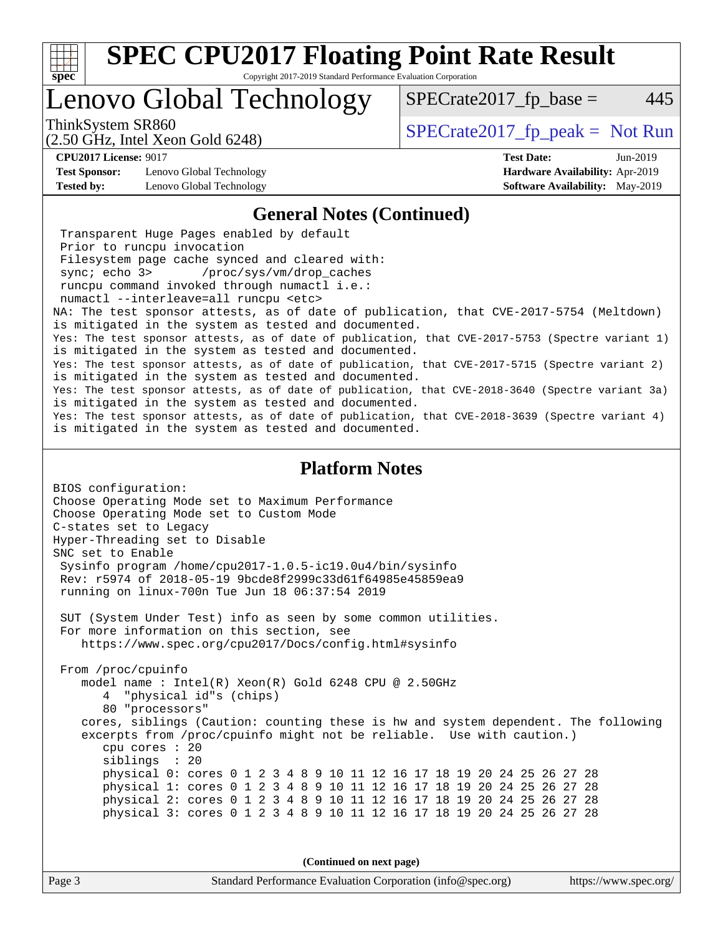

Copyright 2017-2019 Standard Performance Evaluation Corporation

### Lenovo Global Technology

ThinkSystem SR860<br>  $S$ PECrate2017\_fp\_peak = Not Run

 $SPECTate2017<sub>fr</sub> base = 445$ 

#### (2.50 GHz, Intel Xeon Gold 6248)

**[Test Sponsor:](http://www.spec.org/auto/cpu2017/Docs/result-fields.html#TestSponsor)** Lenovo Global Technology **[Hardware Availability:](http://www.spec.org/auto/cpu2017/Docs/result-fields.html#HardwareAvailability)** Apr-2019 **[Tested by:](http://www.spec.org/auto/cpu2017/Docs/result-fields.html#Testedby)** Lenovo Global Technology **[Software Availability:](http://www.spec.org/auto/cpu2017/Docs/result-fields.html#SoftwareAvailability)** May-2019

**[CPU2017 License:](http://www.spec.org/auto/cpu2017/Docs/result-fields.html#CPU2017License)** 9017 **[Test Date:](http://www.spec.org/auto/cpu2017/Docs/result-fields.html#TestDate)** Jun-2019

#### **[General Notes \(Continued\)](http://www.spec.org/auto/cpu2017/Docs/result-fields.html#GeneralNotes)**

 Transparent Huge Pages enabled by default Prior to runcpu invocation Filesystem page cache synced and cleared with: sync; echo 3> /proc/sys/vm/drop\_caches runcpu command invoked through numactl i.e.: numactl --interleave=all runcpu <etc> NA: The test sponsor attests, as of date of publication, that CVE-2017-5754 (Meltdown) is mitigated in the system as tested and documented. Yes: The test sponsor attests, as of date of publication, that CVE-2017-5753 (Spectre variant 1) is mitigated in the system as tested and documented. Yes: The test sponsor attests, as of date of publication, that CVE-2017-5715 (Spectre variant 2) is mitigated in the system as tested and documented. Yes: The test sponsor attests, as of date of publication, that CVE-2018-3640 (Spectre variant 3a) is mitigated in the system as tested and documented. Yes: The test sponsor attests, as of date of publication, that CVE-2018-3639 (Spectre variant 4) is mitigated in the system as tested and documented.

#### **[Platform Notes](http://www.spec.org/auto/cpu2017/Docs/result-fields.html#PlatformNotes)**

BIOS configuration: Choose Operating Mode set to Maximum Performance Choose Operating Mode set to Custom Mode C-states set to Legacy Hyper-Threading set to Disable SNC set to Enable Sysinfo program /home/cpu2017-1.0.5-ic19.0u4/bin/sysinfo Rev: r5974 of 2018-05-19 9bcde8f2999c33d61f64985e45859ea9 running on linux-700n Tue Jun 18 06:37:54 2019 SUT (System Under Test) info as seen by some common utilities. For more information on this section, see <https://www.spec.org/cpu2017/Docs/config.html#sysinfo> From /proc/cpuinfo model name : Intel(R) Xeon(R) Gold 6248 CPU @ 2.50GHz 4 "physical id"s (chips) 80 "processors" cores, siblings (Caution: counting these is hw and system dependent. The following excerpts from /proc/cpuinfo might not be reliable. Use with caution.) cpu cores : 20 siblings : 20 physical 0: cores 0 1 2 3 4 8 9 10 11 12 16 17 18 19 20 24 25 26 27 28 physical 1: cores 0 1 2 3 4 8 9 10 11 12 16 17 18 19 20 24 25 26 27 28 physical 2: cores 0 1 2 3 4 8 9 10 11 12 16 17 18 19 20 24 25 26 27 28 physical 3: cores 0 1 2 3 4 8 9 10 11 12 16 17 18 19 20 24 25 26 27 28

**(Continued on next page)**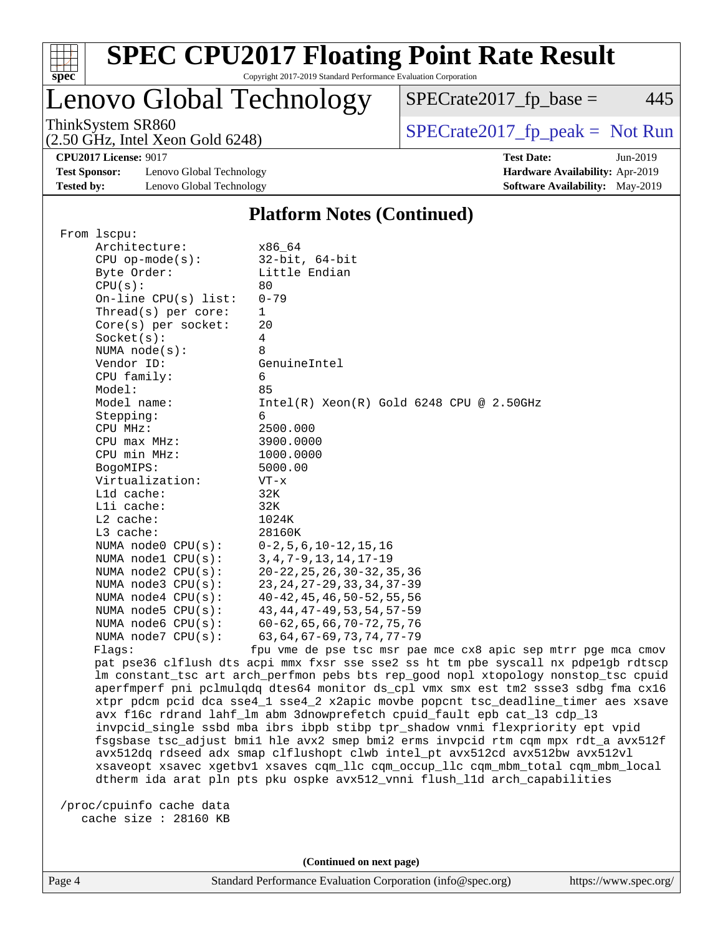

### **[SPEC CPU2017 Floating Point Rate Result](http://www.spec.org/auto/cpu2017/Docs/result-fields.html#SPECCPU2017FloatingPointRateResult)** Copyright 2017-2019 Standard Performance Evaluation Corporation

### Lenovo Global Technology

ThinkSystem SR860<br>  $SPECrate2017_fp\_peak = Not Run$ 

 $SPECTate2017_fp\_base = 445$ 

(2.50 GHz, Intel Xeon Gold 6248)

**[Test Sponsor:](http://www.spec.org/auto/cpu2017/Docs/result-fields.html#TestSponsor)** Lenovo Global Technology **[Hardware Availability:](http://www.spec.org/auto/cpu2017/Docs/result-fields.html#HardwareAvailability)** Apr-2019 **[Tested by:](http://www.spec.org/auto/cpu2017/Docs/result-fields.html#Testedby)** Lenovo Global Technology **[Software Availability:](http://www.spec.org/auto/cpu2017/Docs/result-fields.html#SoftwareAvailability)** May-2019

**[CPU2017 License:](http://www.spec.org/auto/cpu2017/Docs/result-fields.html#CPU2017License)** 9017 **[Test Date:](http://www.spec.org/auto/cpu2017/Docs/result-fields.html#TestDate)** Jun-2019

### **[Platform Notes \(Continued\)](http://www.spec.org/auto/cpu2017/Docs/result-fields.html#PlatformNotes)**

| From 1scpu:             |                                                                                     |
|-------------------------|-------------------------------------------------------------------------------------|
| Architecture:           | x86 64                                                                              |
| $CPU$ op-mode( $s$ ):   | $32$ -bit, $64$ -bit                                                                |
| Byte Order:             | Little Endian                                                                       |
| CPU(s):                 | 80                                                                                  |
| $On$ -line CPU(s) list: | $0 - 79$                                                                            |
| Thread( $s$ ) per core: | 1                                                                                   |
| $Core(s)$ per socket:   | 20                                                                                  |
| Socket(s):              | $\overline{4}$                                                                      |
| NUMA $node(s)$ :        | 8                                                                                   |
| Vendor ID:              | GenuineIntel                                                                        |
| CPU family:             | 6                                                                                   |
| Model:                  | 85                                                                                  |
| Model name:             | $Intel(R)$ Xeon $(R)$ Gold 6248 CPU @ 2.50GHz                                       |
| Stepping:               | 6                                                                                   |
| CPU MHz:                | 2500.000                                                                            |
| $CPU$ max $MHz$ :       | 3900.0000                                                                           |
| CPU min MHz:            | 1000.0000                                                                           |
| BogoMIPS:               | 5000.00                                                                             |
| Virtualization:         | $VT - x$                                                                            |
| $L1d$ cache:            | 32K                                                                                 |
| Lli cache:              | 32K                                                                                 |
| L2 cache:               | 1024K                                                                               |
| L3 cache:               | 28160K                                                                              |
| NUMA node0 CPU(s):      | $0-2, 5, 6, 10-12, 15, 16$                                                          |
| NUMA nodel CPU(s):      | $3, 4, 7 - 9, 13, 14, 17 - 19$                                                      |
| NUMA node2 CPU(s):      | $20 - 22, 25, 26, 30 - 32, 35, 36$                                                  |
| NUMA node3 CPU(s):      | 23, 24, 27 - 29, 33, 34, 37 - 39                                                    |
| NUMA $node4$ $CPU(s)$ : | $40 - 42$ , $45$ , $46$ , $50 - 52$ , $55$ , $56$                                   |
| NUMA node5 CPU(s):      | 43, 44, 47-49, 53, 54, 57-59                                                        |
| NUMA node6 CPU(s):      | $60 - 62, 65, 66, 70 - 72, 75, 76$                                                  |
| NUMA node7 CPU(s):      | $63, 64, 67 - 69, 73, 74, 77 - 79$                                                  |
| Flags:                  | fpu vme de pse tsc msr pae mce cx8 apic sep mtrr pge mca cmov                       |
|                         | pat pse36 clflush dts acpi mmx fxsr sse sse2 ss ht tm pbe syscall nx pdpe1gb rdtscp |
|                         | lm constant_tsc art arch_perfmon pebs bts rep_good nopl xtopology nonstop_tsc cpuid |
|                         | aperfmperf pni pclmulqdq dtes64 monitor ds_cpl vmx smx est tm2 ssse3 sdbg fma cx16  |
|                         | xtpr pdcm pcid dca sse4_1 sse4_2 x2apic movbe popcnt tsc_deadline_timer aes xsave   |
|                         | avx f16c rdrand lahf_lm abm 3dnowprefetch cpuid_fault epb cat_13 cdp_13             |
|                         | invpcid_single ssbd mba ibrs ibpb stibp tpr_shadow vnmi flexpriority ept vpid       |
|                         | fsgsbase tsc_adjust bmil hle avx2 smep bmi2 erms invpcid rtm cqm mpx rdt_a avx512f  |
|                         | avx512dq rdseed adx smap clflushopt clwb intel_pt avx512cd avx512bw avx512vl        |
|                         | xsaveopt xsavec xgetbvl xsaves cqm_llc cqm_occup_llc cqm_mbm_total cqm_mbm_local    |
|                         |                                                                                     |

dtherm ida arat pln pts pku ospke avx512\_vnni flush\_l1d arch\_capabilities

 /proc/cpuinfo cache data cache size : 28160 KB

**(Continued on next page)**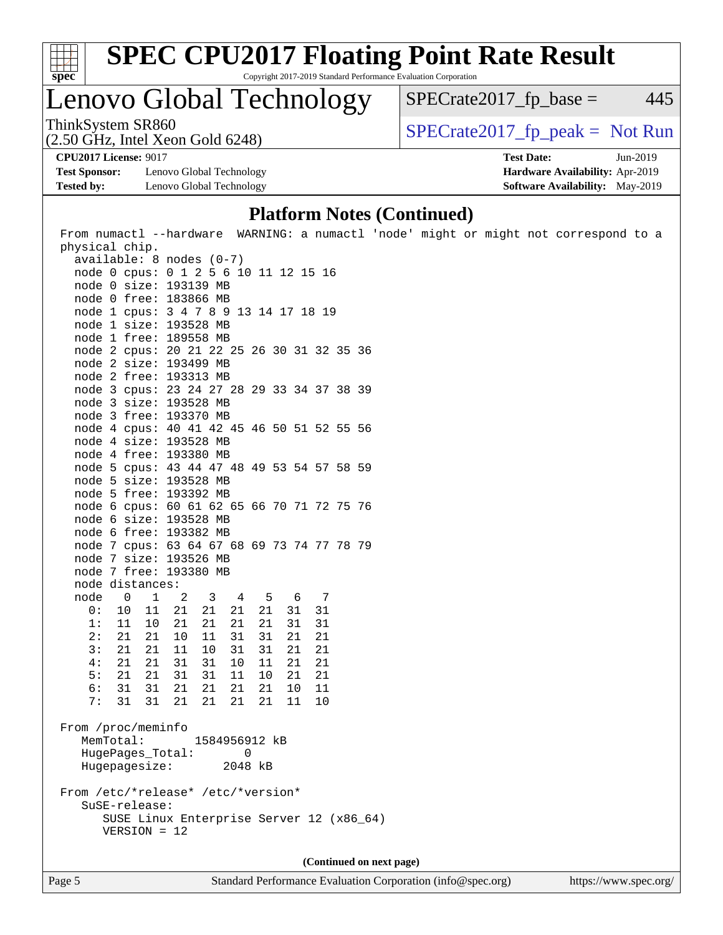

Copyright 2017-2019 Standard Performance Evaluation Corporation

### Lenovo Global Technology

ThinkSystem SR860<br>  $S$ PECrate2017\_fp\_peak = Not Run

 $SPECTate2017<sub>fr</sub> base = 445$ 

(2.50 GHz, Intel Xeon Gold 6248)

**[Test Sponsor:](http://www.spec.org/auto/cpu2017/Docs/result-fields.html#TestSponsor)** Lenovo Global Technology **[Hardware Availability:](http://www.spec.org/auto/cpu2017/Docs/result-fields.html#HardwareAvailability)** Apr-2019 **[Tested by:](http://www.spec.org/auto/cpu2017/Docs/result-fields.html#Testedby)** Lenovo Global Technology **[Software Availability:](http://www.spec.org/auto/cpu2017/Docs/result-fields.html#SoftwareAvailability)** May-2019

**[CPU2017 License:](http://www.spec.org/auto/cpu2017/Docs/result-fields.html#CPU2017License)** 9017 **[Test Date:](http://www.spec.org/auto/cpu2017/Docs/result-fields.html#TestDate)** Jun-2019

### **[Platform Notes \(Continued\)](http://www.spec.org/auto/cpu2017/Docs/result-fields.html#PlatformNotes)**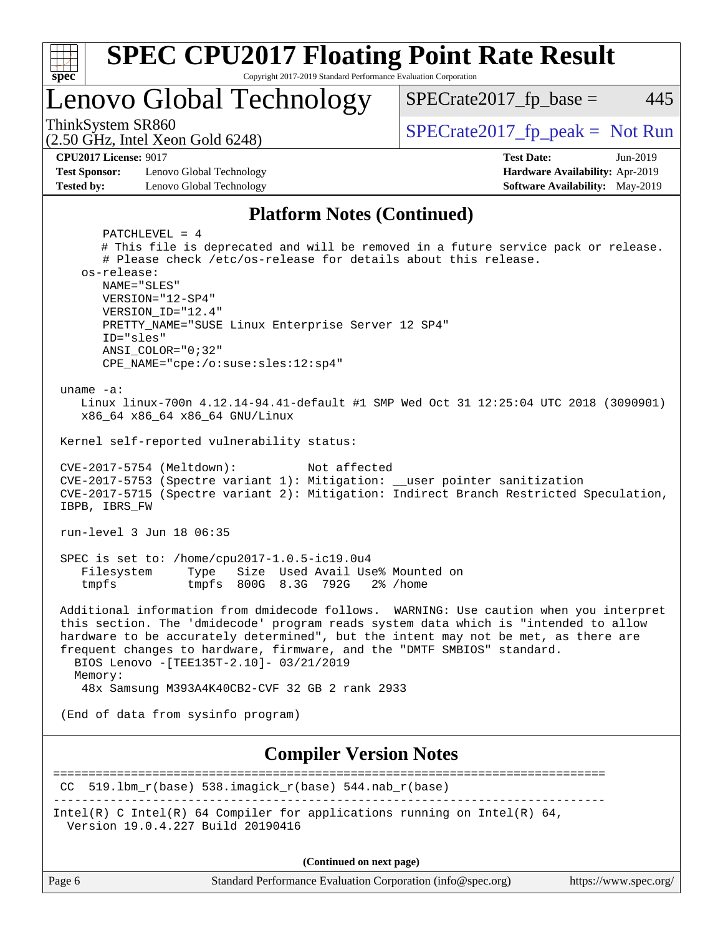

**(Continued on next page)**

| age |  |
|-----|--|
|-----|--|

Page 6 Standard Performance Evaluation Corporation [\(info@spec.org\)](mailto:info@spec.org) <https://www.spec.org/>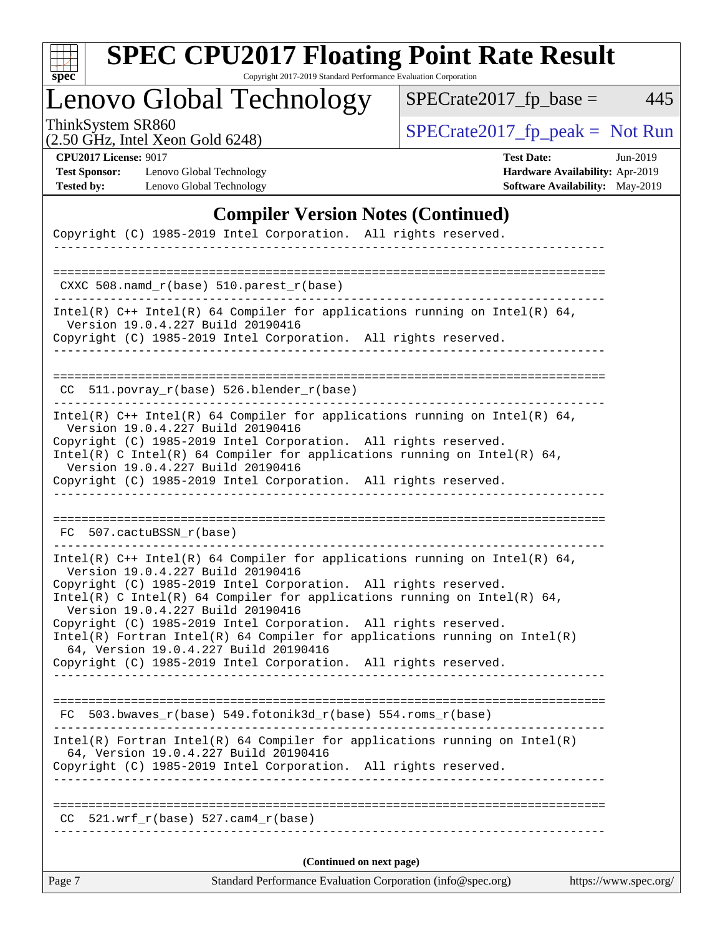| c<br>E<br>S<br>L<br>Ġ. |  |  |  |  |  |
|------------------------|--|--|--|--|--|

Copyright 2017-2019 Standard Performance Evaluation Corporation

## Lenovo Global Technology

ThinkSystem SR860<br>  $(2.50 \text{ GHz})$  Intel Yeon Gold 6248)

 $SPECrate2017_fp\_base = 445$ 

|  | $(2.50 \text{ GHz}, \text{Intel Xeon Gold } 6248)$ |  |
|--|----------------------------------------------------|--|
|  |                                                    |  |
|  |                                                    |  |
|  |                                                    |  |

**[CPU2017 License:](http://www.spec.org/auto/cpu2017/Docs/result-fields.html#CPU2017License)** 9017 **[Test Date:](http://www.spec.org/auto/cpu2017/Docs/result-fields.html#TestDate)** Jun-2019 **[Test Sponsor:](http://www.spec.org/auto/cpu2017/Docs/result-fields.html#TestSponsor)** Lenovo Global Technology **[Hardware Availability:](http://www.spec.org/auto/cpu2017/Docs/result-fields.html#HardwareAvailability)** Apr-2019 **[Tested by:](http://www.spec.org/auto/cpu2017/Docs/result-fields.html#Testedby)** Lenovo Global Technology **[Software Availability:](http://www.spec.org/auto/cpu2017/Docs/result-fields.html#SoftwareAvailability)** May-2019

### **[Compiler Version Notes \(Continued\)](http://www.spec.org/auto/cpu2017/Docs/result-fields.html#CompilerVersionNotes)**

| Standard Performance Evaluation Corporation (info@spec.org)<br>Page 7<br>https://www.spec.org/                        |  |
|-----------------------------------------------------------------------------------------------------------------------|--|
| (Continued on next page)                                                                                              |  |
| $521.wrf_r(base) 527.cam4_r(base)$<br>CC.                                                                             |  |
|                                                                                                                       |  |
| Copyright (C) 1985-2019 Intel Corporation. All rights reserved.                                                       |  |
| $Intel(R)$ Fortran Intel(R) 64 Compiler for applications running on Intel(R)<br>64, Version 19.0.4.227 Build 20190416 |  |
| FC 503.bwaves_r(base) 549.fotonik3d_r(base) 554.roms_r(base)                                                          |  |
| Copyright (C) 1985-2019 Intel Corporation. All rights reserved.                                                       |  |
| $Intel(R)$ Fortran Intel(R) 64 Compiler for applications running on Intel(R)<br>64, Version 19.0.4.227 Build 20190416 |  |
| Copyright (C) 1985-2019 Intel Corporation. All rights reserved.                                                       |  |
| Intel(R) C Intel(R) 64 Compiler for applications running on Intel(R) 64,<br>Version 19.0.4.227 Build 20190416         |  |
| Version 19.0.4.227 Build 20190416<br>Copyright (C) 1985-2019 Intel Corporation. All rights reserved.                  |  |
| Intel(R) $C++$ Intel(R) 64 Compiler for applications running on Intel(R) 64,                                          |  |
| FC 507.cactuBSSN_r(base)                                                                                              |  |
| Copyright (C) 1985-2019 Intel Corporation. All rights reserved.                                                       |  |
| Intel(R) C Intel(R) 64 Compiler for applications running on Intel(R) 64,<br>Version 19.0.4.227 Build 20190416         |  |
| Version 19.0.4.227 Build 20190416<br>Copyright (C) 1985-2019 Intel Corporation. All rights reserved.                  |  |
| Intel(R) $C++$ Intel(R) 64 Compiler for applications running on Intel(R) 64,                                          |  |
| CC 511.povray_r(base) 526.blender_r(base)                                                                             |  |
|                                                                                                                       |  |
| Version 19.0.4.227 Build 20190416<br>Copyright (C) 1985-2019 Intel Corporation. All rights reserved.                  |  |
| Intel(R) $C++$ Intel(R) 64 Compiler for applications running on Intel(R) 64,                                          |  |
| $CXXC 508.namd_r(base) 510.parest_r(base)$                                                                            |  |
| -----------                                                                                                           |  |
| Copyright (C) 1985-2019 Intel Corporation. All rights reserved.                                                       |  |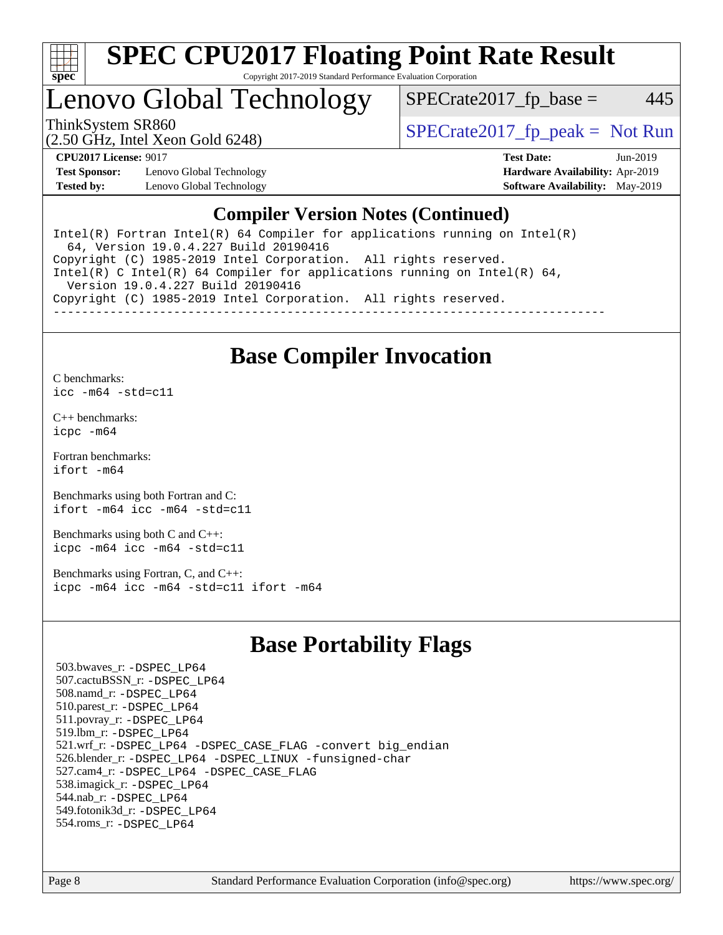

#### **[SPEC CPU2017 Floating Point Rate Result](http://www.spec.org/auto/cpu2017/Docs/result-fields.html#SPECCPU2017FloatingPointRateResult)** Copyright 2017-2019 Standard Performance Evaluation Corporation

### Lenovo Global Technology

ThinkSystem SR860<br>  $S$ PECrate2017\_fp\_peak = Not Run

 $SPECTate2017<sub>fr</sub> base = 445$ 

(2.50 GHz, Intel Xeon Gold 6248)

**[Test Sponsor:](http://www.spec.org/auto/cpu2017/Docs/result-fields.html#TestSponsor)** Lenovo Global Technology **[Hardware Availability:](http://www.spec.org/auto/cpu2017/Docs/result-fields.html#HardwareAvailability)** Apr-2019 **[Tested by:](http://www.spec.org/auto/cpu2017/Docs/result-fields.html#Testedby)** Lenovo Global Technology **[Software Availability:](http://www.spec.org/auto/cpu2017/Docs/result-fields.html#SoftwareAvailability)** May-2019

**[CPU2017 License:](http://www.spec.org/auto/cpu2017/Docs/result-fields.html#CPU2017License)** 9017 **[Test Date:](http://www.spec.org/auto/cpu2017/Docs/result-fields.html#TestDate)** Jun-2019

### **[Compiler Version Notes \(Continued\)](http://www.spec.org/auto/cpu2017/Docs/result-fields.html#CompilerVersionNotes)**

Intel(R) Fortran Intel(R)  $64$  Compiler for applications running on Intel(R) 64, Version 19.0.4.227 Build 20190416 Copyright (C) 1985-2019 Intel Corporation. All rights reserved. Intel(R) C Intel(R) 64 Compiler for applications running on Intel(R) 64, Version 19.0.4.227 Build 20190416 Copyright (C) 1985-2019 Intel Corporation. All rights reserved. ------------------------------------------------------------------------------

### **[Base Compiler Invocation](http://www.spec.org/auto/cpu2017/Docs/result-fields.html#BaseCompilerInvocation)**

[C benchmarks](http://www.spec.org/auto/cpu2017/Docs/result-fields.html#Cbenchmarks): [icc -m64 -std=c11](http://www.spec.org/cpu2017/results/res2019q3/cpu2017-20190625-15659.flags.html#user_CCbase_intel_icc_64bit_c11_33ee0cdaae7deeeab2a9725423ba97205ce30f63b9926c2519791662299b76a0318f32ddfffdc46587804de3178b4f9328c46fa7c2b0cd779d7a61945c91cd35)

[C++ benchmarks:](http://www.spec.org/auto/cpu2017/Docs/result-fields.html#CXXbenchmarks) [icpc -m64](http://www.spec.org/cpu2017/results/res2019q3/cpu2017-20190625-15659.flags.html#user_CXXbase_intel_icpc_64bit_4ecb2543ae3f1412ef961e0650ca070fec7b7afdcd6ed48761b84423119d1bf6bdf5cad15b44d48e7256388bc77273b966e5eb805aefd121eb22e9299b2ec9d9)

[Fortran benchmarks](http://www.spec.org/auto/cpu2017/Docs/result-fields.html#Fortranbenchmarks): [ifort -m64](http://www.spec.org/cpu2017/results/res2019q3/cpu2017-20190625-15659.flags.html#user_FCbase_intel_ifort_64bit_24f2bb282fbaeffd6157abe4f878425411749daecae9a33200eee2bee2fe76f3b89351d69a8130dd5949958ce389cf37ff59a95e7a40d588e8d3a57e0c3fd751)

[Benchmarks using both Fortran and C](http://www.spec.org/auto/cpu2017/Docs/result-fields.html#BenchmarksusingbothFortranandC): [ifort -m64](http://www.spec.org/cpu2017/results/res2019q3/cpu2017-20190625-15659.flags.html#user_CC_FCbase_intel_ifort_64bit_24f2bb282fbaeffd6157abe4f878425411749daecae9a33200eee2bee2fe76f3b89351d69a8130dd5949958ce389cf37ff59a95e7a40d588e8d3a57e0c3fd751) [icc -m64 -std=c11](http://www.spec.org/cpu2017/results/res2019q3/cpu2017-20190625-15659.flags.html#user_CC_FCbase_intel_icc_64bit_c11_33ee0cdaae7deeeab2a9725423ba97205ce30f63b9926c2519791662299b76a0318f32ddfffdc46587804de3178b4f9328c46fa7c2b0cd779d7a61945c91cd35)

[Benchmarks using both C and C++](http://www.spec.org/auto/cpu2017/Docs/result-fields.html#BenchmarksusingbothCandCXX): [icpc -m64](http://www.spec.org/cpu2017/results/res2019q3/cpu2017-20190625-15659.flags.html#user_CC_CXXbase_intel_icpc_64bit_4ecb2543ae3f1412ef961e0650ca070fec7b7afdcd6ed48761b84423119d1bf6bdf5cad15b44d48e7256388bc77273b966e5eb805aefd121eb22e9299b2ec9d9) [icc -m64 -std=c11](http://www.spec.org/cpu2017/results/res2019q3/cpu2017-20190625-15659.flags.html#user_CC_CXXbase_intel_icc_64bit_c11_33ee0cdaae7deeeab2a9725423ba97205ce30f63b9926c2519791662299b76a0318f32ddfffdc46587804de3178b4f9328c46fa7c2b0cd779d7a61945c91cd35)

[Benchmarks using Fortran, C, and C++:](http://www.spec.org/auto/cpu2017/Docs/result-fields.html#BenchmarksusingFortranCandCXX) [icpc -m64](http://www.spec.org/cpu2017/results/res2019q3/cpu2017-20190625-15659.flags.html#user_CC_CXX_FCbase_intel_icpc_64bit_4ecb2543ae3f1412ef961e0650ca070fec7b7afdcd6ed48761b84423119d1bf6bdf5cad15b44d48e7256388bc77273b966e5eb805aefd121eb22e9299b2ec9d9) [icc -m64 -std=c11](http://www.spec.org/cpu2017/results/res2019q3/cpu2017-20190625-15659.flags.html#user_CC_CXX_FCbase_intel_icc_64bit_c11_33ee0cdaae7deeeab2a9725423ba97205ce30f63b9926c2519791662299b76a0318f32ddfffdc46587804de3178b4f9328c46fa7c2b0cd779d7a61945c91cd35) [ifort -m64](http://www.spec.org/cpu2017/results/res2019q3/cpu2017-20190625-15659.flags.html#user_CC_CXX_FCbase_intel_ifort_64bit_24f2bb282fbaeffd6157abe4f878425411749daecae9a33200eee2bee2fe76f3b89351d69a8130dd5949958ce389cf37ff59a95e7a40d588e8d3a57e0c3fd751)

### **[Base Portability Flags](http://www.spec.org/auto/cpu2017/Docs/result-fields.html#BasePortabilityFlags)**

 503.bwaves\_r: [-DSPEC\\_LP64](http://www.spec.org/cpu2017/results/res2019q3/cpu2017-20190625-15659.flags.html#suite_basePORTABILITY503_bwaves_r_DSPEC_LP64) 507.cactuBSSN\_r: [-DSPEC\\_LP64](http://www.spec.org/cpu2017/results/res2019q3/cpu2017-20190625-15659.flags.html#suite_basePORTABILITY507_cactuBSSN_r_DSPEC_LP64) 508.namd\_r: [-DSPEC\\_LP64](http://www.spec.org/cpu2017/results/res2019q3/cpu2017-20190625-15659.flags.html#suite_basePORTABILITY508_namd_r_DSPEC_LP64) 510.parest\_r: [-DSPEC\\_LP64](http://www.spec.org/cpu2017/results/res2019q3/cpu2017-20190625-15659.flags.html#suite_basePORTABILITY510_parest_r_DSPEC_LP64) 511.povray\_r: [-DSPEC\\_LP64](http://www.spec.org/cpu2017/results/res2019q3/cpu2017-20190625-15659.flags.html#suite_basePORTABILITY511_povray_r_DSPEC_LP64) 519.lbm\_r: [-DSPEC\\_LP64](http://www.spec.org/cpu2017/results/res2019q3/cpu2017-20190625-15659.flags.html#suite_basePORTABILITY519_lbm_r_DSPEC_LP64) 521.wrf\_r: [-DSPEC\\_LP64](http://www.spec.org/cpu2017/results/res2019q3/cpu2017-20190625-15659.flags.html#suite_basePORTABILITY521_wrf_r_DSPEC_LP64) [-DSPEC\\_CASE\\_FLAG](http://www.spec.org/cpu2017/results/res2019q3/cpu2017-20190625-15659.flags.html#b521.wrf_r_baseCPORTABILITY_DSPEC_CASE_FLAG) [-convert big\\_endian](http://www.spec.org/cpu2017/results/res2019q3/cpu2017-20190625-15659.flags.html#user_baseFPORTABILITY521_wrf_r_convert_big_endian_c3194028bc08c63ac5d04de18c48ce6d347e4e562e8892b8bdbdc0214820426deb8554edfa529a3fb25a586e65a3d812c835984020483e7e73212c4d31a38223) 526.blender\_r: [-DSPEC\\_LP64](http://www.spec.org/cpu2017/results/res2019q3/cpu2017-20190625-15659.flags.html#suite_basePORTABILITY526_blender_r_DSPEC_LP64) [-DSPEC\\_LINUX](http://www.spec.org/cpu2017/results/res2019q3/cpu2017-20190625-15659.flags.html#b526.blender_r_baseCPORTABILITY_DSPEC_LINUX) [-funsigned-char](http://www.spec.org/cpu2017/results/res2019q3/cpu2017-20190625-15659.flags.html#user_baseCPORTABILITY526_blender_r_force_uchar_40c60f00ab013830e2dd6774aeded3ff59883ba5a1fc5fc14077f794d777847726e2a5858cbc7672e36e1b067e7e5c1d9a74f7176df07886a243d7cc18edfe67) 527.cam4\_r: [-DSPEC\\_LP64](http://www.spec.org/cpu2017/results/res2019q3/cpu2017-20190625-15659.flags.html#suite_basePORTABILITY527_cam4_r_DSPEC_LP64) [-DSPEC\\_CASE\\_FLAG](http://www.spec.org/cpu2017/results/res2019q3/cpu2017-20190625-15659.flags.html#b527.cam4_r_baseCPORTABILITY_DSPEC_CASE_FLAG) 538.imagick\_r: [-DSPEC\\_LP64](http://www.spec.org/cpu2017/results/res2019q3/cpu2017-20190625-15659.flags.html#suite_basePORTABILITY538_imagick_r_DSPEC_LP64) 544.nab\_r: [-DSPEC\\_LP64](http://www.spec.org/cpu2017/results/res2019q3/cpu2017-20190625-15659.flags.html#suite_basePORTABILITY544_nab_r_DSPEC_LP64) 549.fotonik3d\_r: [-DSPEC\\_LP64](http://www.spec.org/cpu2017/results/res2019q3/cpu2017-20190625-15659.flags.html#suite_basePORTABILITY549_fotonik3d_r_DSPEC_LP64) 554.roms\_r: [-DSPEC\\_LP64](http://www.spec.org/cpu2017/results/res2019q3/cpu2017-20190625-15659.flags.html#suite_basePORTABILITY554_roms_r_DSPEC_LP64)